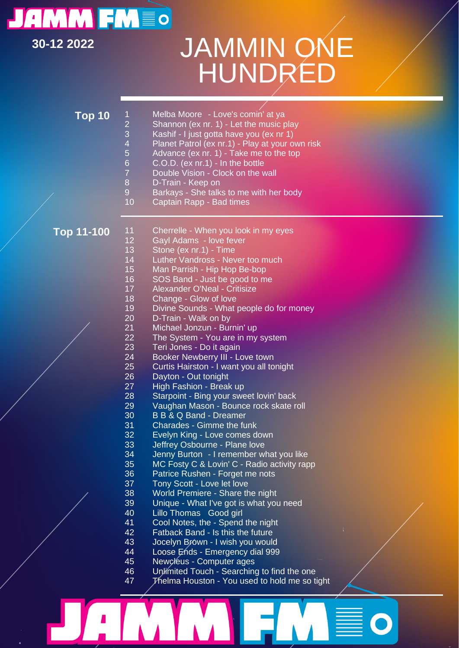## **JAMM FMEO**

[Typ hier]

## **30-12 2022** JAMMIN ONE HUNDRED

| Top 10            | 1<br>$\overline{c}$<br>3<br>$\overline{4}$<br>5<br>$6\phantom{1}$<br>$\overline{7}$<br>8<br>$\overline{9}$<br>10 | Melba Moore - Love's comin' at ya<br>Shannon (ex nr. 1) - Let the music play<br>Kashif - I just gotta have you (ex nr 1)<br>Planet Patrol (ex nr.1) - Play at your own risk<br>Advance (ex nr. 1) - Take me to the top<br>$C.O.D.$ (ex nr.1) - In the bottle<br>Double Vision - Clock on the wall<br>D-Train - Keep on<br>Barkays - She talks to me with her body<br>Captain Rapp - Bad times                                                                                                                                                                                                                                                |  |
|-------------------|------------------------------------------------------------------------------------------------------------------|----------------------------------------------------------------------------------------------------------------------------------------------------------------------------------------------------------------------------------------------------------------------------------------------------------------------------------------------------------------------------------------------------------------------------------------------------------------------------------------------------------------------------------------------------------------------------------------------------------------------------------------------|--|
| <b>Top 11-100</b> | 11<br>12<br>13<br>14<br>15<br>16<br>17<br>18                                                                     | Cherrelle - When you look in my eyes<br>Gayl Adams - love fever<br>Stone (ex nr.1) - Time<br>Luther Vandross - Never too much<br>Man Parrish - Hip Hop Be-bop<br>SOS Band - Just be good to me<br>Alexander O'Neal - Critisize<br>Change - Glow of love                                                                                                                                                                                                                                                                                                                                                                                      |  |
|                   | 19<br>20<br>21<br>22<br>23<br>24<br>25<br>26<br>27<br>28<br>29<br>30                                             | Divine Sounds - What people do for money<br>D-Train - Walk on by<br>Michael Jonzun - Burnin' up<br>The System - You are in my system<br>Teri Jones - Do it again<br>Booker Newberry III - Love town<br>Curtis Hairston - I want you all tonight<br>Dayton - Out tonight<br>High Fashion - Break up<br>Starpoint - Bing your sweet lovin' back<br>Vaughan Mason - Bounce rock skate roll<br><b>B B &amp; Q Band - Dreamer</b>                                                                                                                                                                                                                 |  |
|                   | 31<br>32<br>33<br>34<br>35<br>36<br>37<br>38<br>39<br>40<br>41<br>42<br>43<br>44<br>45<br>46<br>47               | Charades - Gimme the funk<br>Evelyn King - Love comes down<br>Jeffrey Osbourne - Plane love<br>Jenny Burton - I remember what you like<br>MC Fosty C & Lovin' C - Radio activity rapp<br>Patrice Rushen - Forget me nots<br>Tony Scott - Love let love<br>World Premiere - Share the night<br>Unique - What I've got is what you need<br>Lillo Thomas Good girl<br>Cool Notes, the - Spend the night<br>Fatback Band - Is this the future<br>Jocelyn Brówn - I wish you would<br>Loose Ends - Emergency dial 999<br>Newcleus - Computer ages<br>Unlimited Touch - Searching to find the one<br>Thelma Houston - You used to hold me so tight |  |

M